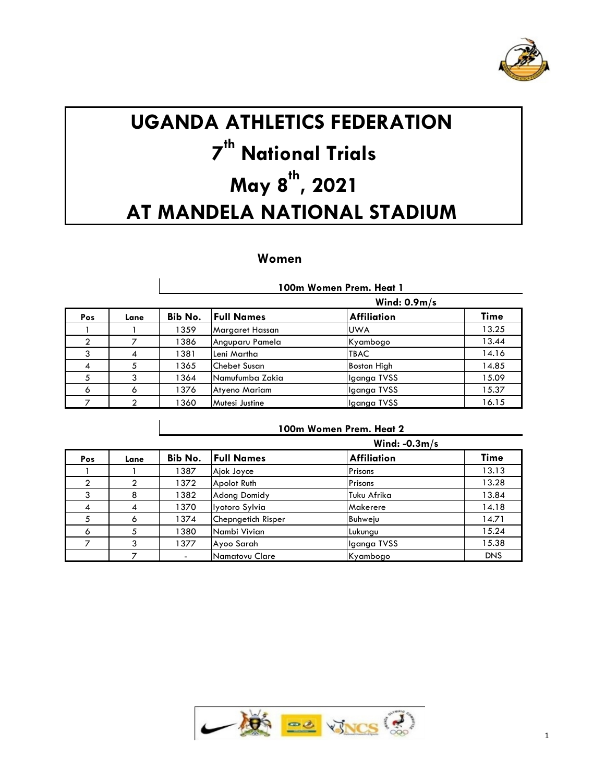

# **UGANDA ATHLETICS FEDERATION th National Trials May 8 th , 2021 AT MANDELA NATIONAL STADIUM**

# **Women**

|     |      |         |                     | 100m Women Prem. Heat 1 |             |
|-----|------|---------|---------------------|-------------------------|-------------|
|     |      |         |                     | Wind: $0.9m/s$          |             |
| Pos | Lane | Bib No. | <b>Full Names</b>   | <b>Affiliation</b>      | <b>Time</b> |
|     |      | 1359    | Margaret Hassan     | <b>UWA</b>              | 13.25       |
| 2   |      | 1386    | Anguparu Pamela     | Kyambogo                | 13.44       |
| 3   | 4    | 1381    | Leni Martha         | <b>TBAC</b>             | 14.16       |
| 4   | 5    | 1365    | <b>Chebet Susan</b> | Boston High             | 14.85       |
| 5   | 3    | 1364    | Namufumba Zakia     | Iganga TVSS             | 15.09       |
| 6   | 6    | 1376    | Atyeno Mariam       | Iganga TVSS             | 15.37       |
|     | ◠    | 1360    | Mutesi Justine      | Iganga TVSS             | 16.15       |

|               |      |         | Wind: $-0.3m/s$       |              |            |
|---------------|------|---------|-----------------------|--------------|------------|
| <b>Pos</b>    | Lane | Bib No. | <b>Full Names</b>     | Affiliation  | Time       |
|               |      | 1387    | Ajok Joyce            | Prisons      | 13.13      |
| $\mathcal{P}$ |      | 1372    | Apolot Ruth           | Prisons      | 13.28      |
| 3             | 8    | 1382    | <b>Adong Domidy</b>   | Tuku Afrika  | 13.84      |
| 4             | 4    | 1370    | Iyotoro Sylvia        | Makerere     | 14.18      |
|               | 6    | 1374    | Chepngetich Risper    | Buhweju      | 14.71      |
| 6             |      | 1380    | Nambi Vivian          | Lukungu      | 15.24      |
|               |      | 1377    | Ayoo Sarah            | Ilganga TVSS | 15.38      |
|               |      |         | <b>Namatovu Clare</b> | Kyambogo     | <b>DNS</b> |

**100m Women Prem. Heat 2**

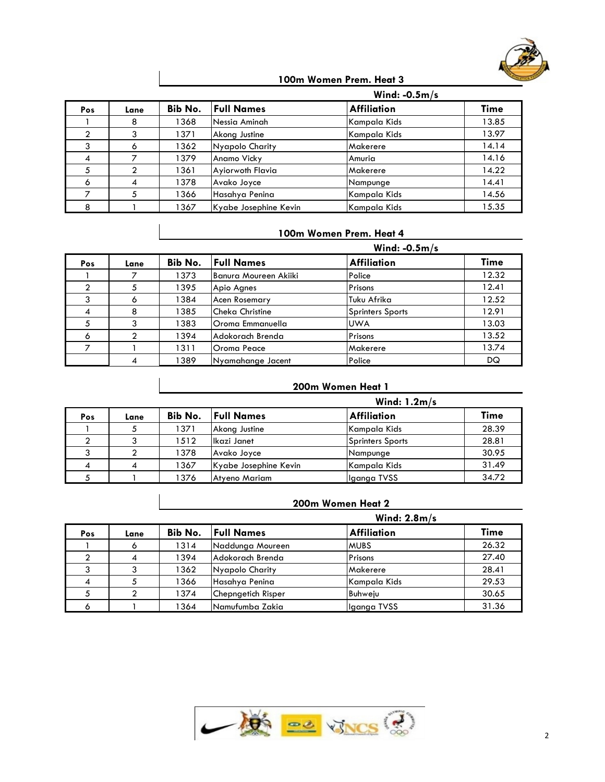

## **100m Women Prem. Heat 3**

|     |      |         | Wind: $-0.5m/s$       |                    |       |
|-----|------|---------|-----------------------|--------------------|-------|
| Pos | Lane | Bib No. | <b>Full Names</b>     | <b>Affiliation</b> | Time  |
|     | ō    | 1368    | Nessia Aminah         | Kampala Kids       | 13.85 |
| ◠   |      | 1371    | Akong Justine         | Kampala Kids       | 13.97 |
|     | o    | 1362    | Nyapolo Charity       | Makerere           | 14.14 |
| 4   |      | 1379    | Anamo Vicky           | Amuria             | 14.16 |
|     |      | 1361    | Ayiorwoth Flavia      | Makerere           | 14.22 |
| 6   | 4    | 1378    | Avako Joyce           | Nampunge           | 14.41 |
|     |      | 1366    | Hasahya Penina        | Kampala Kids       | 14.56 |
| 8   |      | 1367    | Kyabe Josephine Kevin | Kampala Kids       | 15.35 |

## **100m Women Prem. Heat 4**

|     |      |         |                        | Wind: $-0.5m/s$    |             |  |
|-----|------|---------|------------------------|--------------------|-------------|--|
| Pos | Lane | Bib No. | <b>Full Names</b>      | <b>Affiliation</b> | <b>Time</b> |  |
|     |      | 1373    | Banura Moureen Akiiki  | Police             | 12.32       |  |
| ↑   |      | 1395    | Apio Agnes             | Prisons            | 12.41       |  |
|     | Ô    | 1384    | <b>Acen Rosemary</b>   | Tuku Afrika        | 12.52       |  |
|     | 8    | 1385    | <b>Cheka Christine</b> | Sprinters Sports   | 12.91       |  |
|     |      | 1383    | Oroma Emmanuella       | <b>UWA</b>         | 13.03       |  |
| 6   | ◠    | 1394    | Adokorach Brenda       | Prisons            | 13.52       |  |
|     |      | 1311    | Oroma Peace            | Makerere           | 13.74       |  |
|     |      | 1389    | Nyamahange Jacent      | Police             | DQ          |  |

#### **200m Women Heat 1**

|     |      |         |                       | Wind: $1.2m/s$     |       |
|-----|------|---------|-----------------------|--------------------|-------|
| Pos | Lane | Bib No. | <b>Full Names</b>     | <b>Affiliation</b> | Time  |
|     |      | 1371    | Akong Justine         | Kampala Kids       | 28.39 |
|     |      | 1512    | Ikazi Janet           | Sprinters Sports   | 28.81 |
| 3   |      | 1378    | Avako Joyce           | Nampunge           | 30.95 |
| 4   |      | 1367    | Kyabe Josephine Kevin | Kampala Kids       | 31.49 |
|     |      | 1376    | Atyeno Mariam         | Iganga TVSS        | 34.72 |

# **200m Women Heat 2**

|     |      |         | Wind: $2.8m/s$     |                    |       |  |  |
|-----|------|---------|--------------------|--------------------|-------|--|--|
| Pos | Lane | Bib No. | <b>Full Names</b>  | <b>Affiliation</b> | Time  |  |  |
|     |      | 1314    | Naddunga Moureen   | <b>MUBS</b>        | 26.32 |  |  |
|     | 4    | 1394    | Adokorach Brenda   | Prisons            | 27.40 |  |  |
|     |      | 1362    | Nyapolo Charity    | <b>Makerere</b>    | 28.41 |  |  |
| 4   |      | 1366    | Hasahya Penina     | Kampala Kids       | 29.53 |  |  |
|     |      | 1374    | Chepngetich Risper | Buhweju            | 30.65 |  |  |
| ◠   |      | 1364    | Namufumba Zakia    | Iganga TVSS        | 31.36 |  |  |

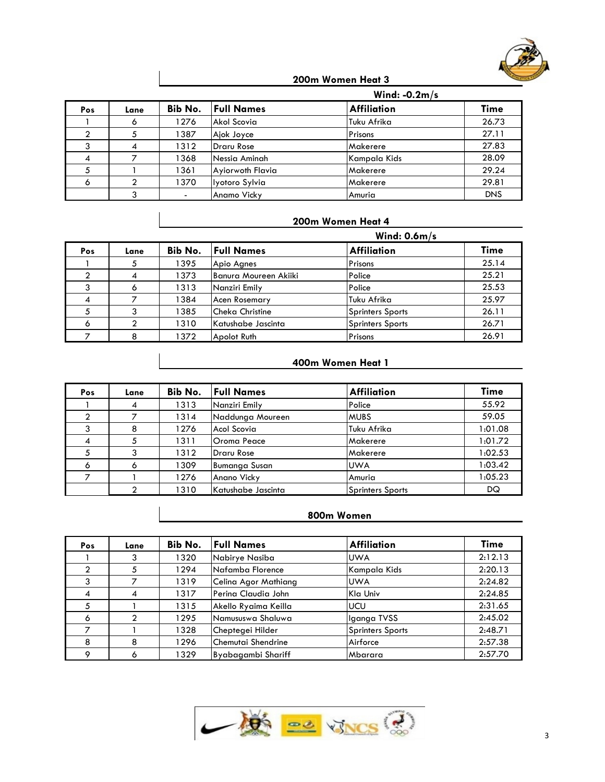

#### **200m Women Heat 3**

|     |      |         | Wind: $-0.2m/s$   |                    |            |
|-----|------|---------|-------------------|--------------------|------------|
| Pos | Lane | Bib No. | <b>Full Names</b> | <b>Affiliation</b> | Time       |
|     |      | 1276    | Akol Scovia       | Tuku Afrika        | 26.73      |
|     |      | 1387    | Ajok Joyce        | Prisons            | 27.11      |
|     |      | 1312    | <b>Draru Rose</b> | Makerere           | 27.83      |
|     |      | 1368    | Nessia Aminah     | Kampala Kids       | 28.09      |
|     |      | 1361    | Ayiorwoth Flavia  | Makerere           | 29.24      |
| Ô   |      | 1370    | Iyotoro Sylvia    | Makerere           | 29.81      |
|     |      |         | Anamo Vicky       | Amuria             | <b>DNS</b> |

# **200m Women Heat 4**

|     |      |         |                       | Wind: $0.6m/s$          |             |  |
|-----|------|---------|-----------------------|-------------------------|-------------|--|
| Pos | Lane | Bib No. | <b>Full Names</b>     | <b>Affiliation</b>      | <b>Time</b> |  |
|     |      | 1395    | Apio Agnes            | Prisons                 | 25.14       |  |
|     |      | 1373    | Banura Moureen Akiiki | Police                  | 25.21       |  |
|     |      | 1313    | Nanziri Emily         | Police                  | 25.53       |  |
|     |      | 1384    | <b>Acen Rosemary</b>  | Tuku Afrika             | 25.97       |  |
|     |      | 1385    | Cheka Christine       | <b>Sprinters Sports</b> | 26.11       |  |
| ۰   |      | 1310    | Katushabe Jascinta    | <b>Sprinters Sports</b> | 26.71       |  |
|     |      | 1372    | Apolot Ruth           | Prisons                 | 26.91       |  |

## **400m Women Heat 1**

| Pos | Lane | Bib No. | <b>Full Names</b>    | <b>Affiliation</b>      | <b>Time</b> |
|-----|------|---------|----------------------|-------------------------|-------------|
|     | 4    | 1313    | Nanziri Emily        | Police                  | 55.92       |
|     |      | 1314    | Naddunga Moureen     | <b>MUBS</b>             | 59.05       |
|     | 8    | 1276    | Acol Scovia          | Tuku Afrika             | 1:01.08     |
| 4   |      | 1311    | <b>Oroma Peace</b>   | Makerere                | 1:01.72     |
|     |      | 1312    | <b>Draru Rose</b>    | Makerere                | 1:02.53     |
| Ō   | o    | 1309    | <b>Bumanga Susan</b> | <b>UWA</b>              | 1:03.42     |
|     |      | 1276    | Anano Vicky          | Amuria                  | 1:05.23     |
|     |      | 1310    | Katushabe Jascinta   | <b>Sprinters Sports</b> | DQ          |

# **800m Women**

| <b>Pos</b>     | Lane | Bib No. | <b>Full Names</b>    | <b>Affiliation</b>      | Time    |
|----------------|------|---------|----------------------|-------------------------|---------|
|                |      | 1320    | Nabirye Nasiba       | <b>UWA</b>              | 2:12.13 |
| ◠              |      | 1294    | Nafamba Florence     | Kampala Kids            | 2:20.13 |
| 3              |      | 1319    | Celina Agor Mathiang | <b>UWA</b>              | 2:24.82 |
| $\overline{4}$ |      | 1317    | Perina Claudia John  | Kla Univ                | 2:24.85 |
| 5              |      | 1315    | Akello Ryaima Keilla | <b>UCU</b>              | 2:31.65 |
| 6              |      | 1295    | Namususwa Shaluwa    | Ilganga TVSS            | 2:45.02 |
|                |      | 1328    | Cheptegei Hilder     | <b>Sprinters Sports</b> | 2:48.71 |
| 8              | 8    | 1296    | Chemutai Shendrine   | Airforce                | 2:57.38 |
| $\circ$        | Ô    | 1329    | Byabagambi Shariff   | Mbarara                 | 2:57.70 |

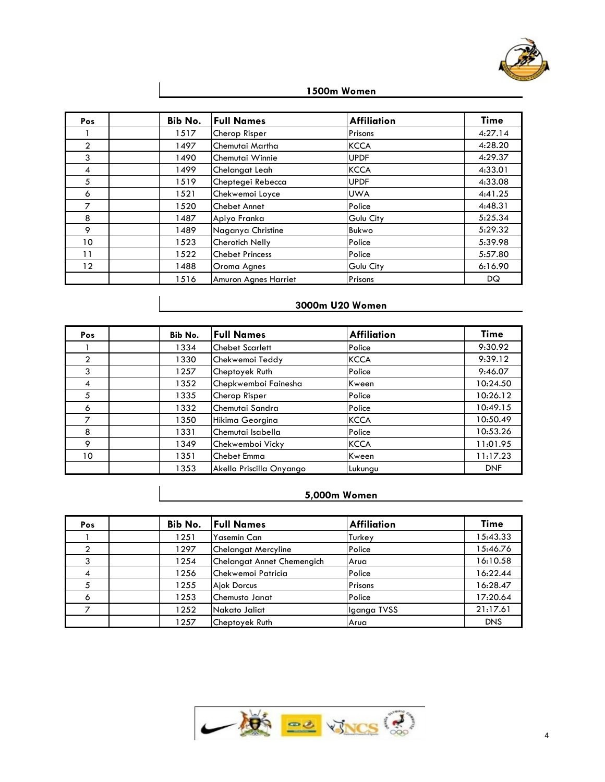

| 1500m Women |
|-------------|
|-------------|

| <b>Pos</b>        | Bib No. | <b>Full Names</b>      | Affiliation      | <b>Time</b> |
|-------------------|---------|------------------------|------------------|-------------|
|                   | 1517    | Cherop Risper          | Prisons          | 4:27.14     |
| $\overline{2}$    | 1497    | Chemutai Martha        | <b>KCCA</b>      | 4:28.20     |
| 3                 | 1490    | Chemutai Winnie        | <b>UPDF</b>      | 4:29.37     |
| 4                 | 1499    | Chelangat Leah         | <b>KCCA</b>      | 4:33.01     |
| 5                 | 1519    | Cheptegei Rebecca      | <b>UPDF</b>      | 4:33.08     |
| 6                 | 1521    | Chekwemoi Loyce        | <b>UWA</b>       | 4:41.25     |
| 7                 | 1520    | <b>Chebet Annet</b>    | Police           | 4:48.31     |
| 8                 | 1487    | Apiyo Franka           | Gulu City        | 5:25.34     |
| 9                 | 1489    | Naganya Christine      | Bukwo            | 5:29.32     |
| 10                | 1523    | <b>Cherotich Nelly</b> | Police           | 5:39.98     |
| 11                | 1522    | <b>Chebet Princess</b> | Police           | 5:57.80     |
| $12 \overline{ }$ | 1488    | Oroma Agnes            | <b>Gulu City</b> | 6:16.90     |
|                   | 1516    | Amuron Agnes Harriet   | Prisons          | DQ          |

# **3000m U20 Women**

| Pos            | Bib No. | <b>Full Names</b>        | <b>Affiliation</b> | <b>Time</b> |
|----------------|---------|--------------------------|--------------------|-------------|
|                | 1334    | Chebet Scarlett          | Police             | 9:30.92     |
| $\overline{2}$ | 1330    | Chekwemoi Teddy          | <b>KCCA</b>        | 9:39.12     |
| 3              | 1257    | Cheptoyek Ruth           | Police             | 9:46.07     |
| 4              | 1352    | Chepkwemboi Fainesha     | <b>Kween</b>       | 10:24.50    |
| 5              | 1335    | Cherop Risper            | Police             | 10:26.12    |
| 6              | 1332    | Chemutai Sandra          | Police             | 10:49.15    |
| ⇁              | 1350    | Hikima Georgina          | <b>KCCA</b>        | 10:50.49    |
| 8              | 1331    | Chemutai Isabella        | Police             | 10:53.26    |
| 9              | 1349    | Chekwemboi Vicky         | <b>KCCA</b>        | 11:01.95    |
| 10             | 1351    | Chebet Emma              | Kween              | 11:17.23    |
|                | 1353    | Akello Priscilla Onyango | Lukungu            | <b>DNF</b>  |

#### **5,000m Women**

| <b>Pos</b> | Bib No. | <b>Full Names</b>          | <b>Affiliation</b> | <b>Time</b> |
|------------|---------|----------------------------|--------------------|-------------|
|            | 1251    | <b>Yasemin Can</b>         | Turkey             | 15:43.33    |
| ◠          | 1297    | <b>Chelangat Mercyline</b> | Police             | 15:46.76    |
| າ          | 1254    | Chelangat Annet Chemengich | Arua               | 16:10.58    |
| 4          | 1256    | lChekwemoi Patricia        | Police             | 16:22.44    |
|            | 1255    | <b>Ajok Dorcus</b>         | Prisons            | 16:28.47    |
| 6          | 1253    | Chemusto Janat             | Police             | 17:20.64    |
|            | 1252    | Nakato Jaliat              | Iganga TVSS        | 21:17.61    |
|            | 1257    | Cheptoyek Ruth             | Arua               | <b>DNS</b>  |

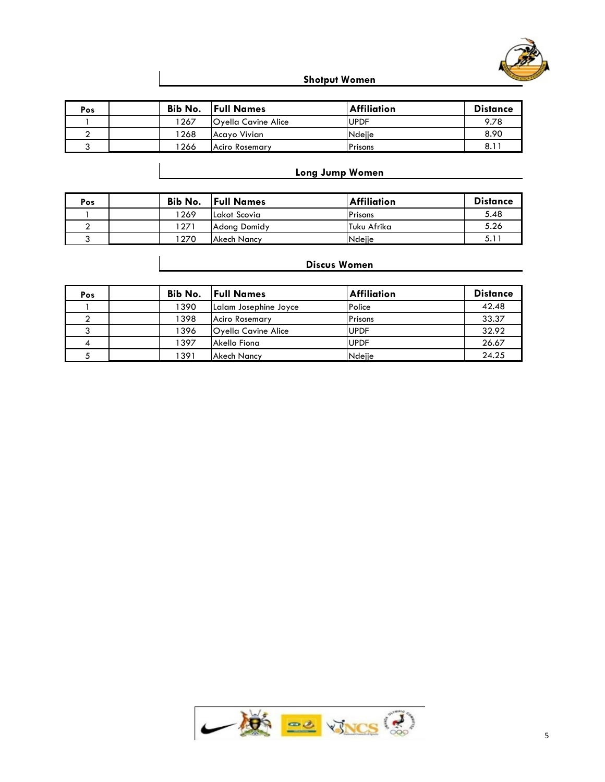

**Shotput Women**

| Pos | Bib No. | <b>Full Names</b>   | <b>Affiliation</b> | <b>Distance</b> |
|-----|---------|---------------------|--------------------|-----------------|
|     | 1267    | Oyella Cavine Alice | <b>UPDF</b>        | 9.78            |
|     | 1268    | Acayo Vivian        | Ndejje             | 8.90            |
|     | ' 266   | Aciro Rosemary      | Prisons            | 8.11            |

# **Long Jump Women**

| Pos | Bib No. | <b>Full Names</b>  | <b>Affiliation</b> | <b>Distance</b> |
|-----|---------|--------------------|--------------------|-----------------|
|     | 1269    | Lakot Scovia       | Prisons            | 5.48            |
|     | 1271    | Adong Domidy       | Tuku Afrika        | 5.26            |
|     | 270     | <b>Akech Nancy</b> | Ndeije             | J. I            |

| Pos | Bib No. | <b>Full Names</b>     | <b>Affiliation</b> | <b>Distance</b> |
|-----|---------|-----------------------|--------------------|-----------------|
|     | 1390    | Lalam Josephine Joyce | Police             | 42.48           |
|     | 1398    | <b>Aciro Rosemary</b> | Prisons            | 33.37           |
|     | 1396    | Oyella Cavine Alice   | <b>UPDF</b>        | 32.92           |
|     | 1397    | Akello Fiona          | <b>UPDF</b>        | 26.67           |
|     | 1391    | Akech Nancy           | Ndejje             | 24.25           |

## **Discus Women**

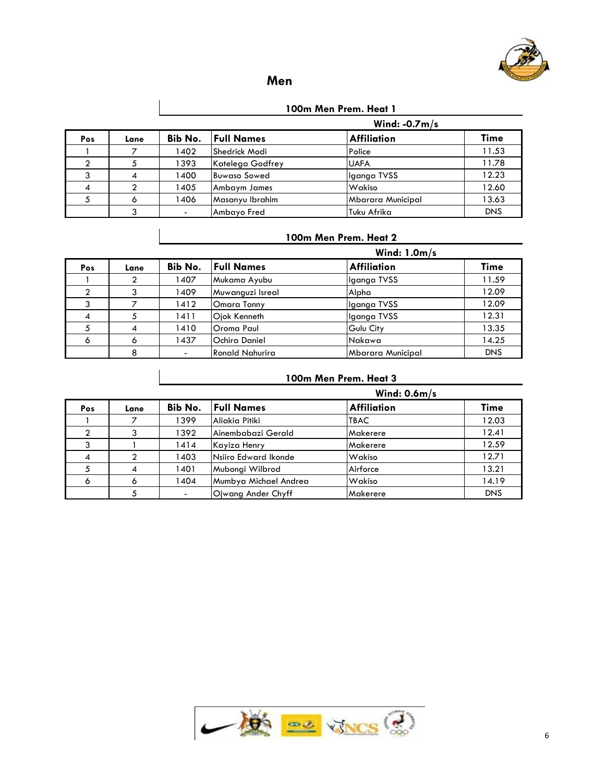

# **Men**

## **100m Men Prem. Heat 1**

|     |      |         | Wind: $-0.7m/s$     |                    |            |  |  |  |
|-----|------|---------|---------------------|--------------------|------------|--|--|--|
| Pos | Lane | Bib No. | <b>Full Names</b>   | <b>Affiliation</b> | Time       |  |  |  |
|     |      | 1402    | Shedrick Modi       | Police             | 11.53      |  |  |  |
|     |      | 1393    | Katelega Godfrey    | <b>UAFA</b>        | 11.78      |  |  |  |
|     | 4    | 1400    | <b>Buwaso Sowed</b> | Iganga TVSS        | 12.23      |  |  |  |
|     |      | 1405    | Ambaym James        | Wakiso             | 12.60      |  |  |  |
|     |      | 1406    | Masanyu Ibrahim     | Mbarara Municipal  | 13.63      |  |  |  |
|     |      |         | Ambayo Fred         | Tuku Afrika        | <b>DNS</b> |  |  |  |

#### **100m Men Prem. Heat 2**

|         |      | Wind: $1.0m/s$ |                   |                   |            |  |  |  |
|---------|------|----------------|-------------------|-------------------|------------|--|--|--|
| Pos     | Lane | Bib No.        | <b>Full Names</b> | Affiliation       | Time       |  |  |  |
|         |      | 1407           | Mukama Ayubu      | Iganga TVSS       | 11.59      |  |  |  |
|         |      | 1409           | Muwanguzi Isreal  | Alpha             | 12.09      |  |  |  |
|         |      | 1412           | Omara Tonny       | Iganga TVSS       | 12.09      |  |  |  |
|         |      | 1411           | Ojok Kenneth      | Iganga TVSS       | 12.31      |  |  |  |
|         |      | 1410           | Oroma Paul        | Gulu City         | 13.35      |  |  |  |
| $\circ$ | Ô    | 1437           | Ochira Daniel     | Nakawa            | 14.25      |  |  |  |
|         | 8    |                | Ronald Nahurira   | Mbarara Municipal | <b>DNS</b> |  |  |  |

## **100m Men Prem. Heat 3**

|     |      | Wind: $0.6m/s$ |                       |                    |            |  |  |
|-----|------|----------------|-----------------------|--------------------|------------|--|--|
| Pos | Lane | Bib No.        | <b>Full Names</b>     | <b>Affiliation</b> | Time       |  |  |
|     |      | 1399           | Aliakia Pitiki        | <b>TBAC</b>        | 12.03      |  |  |
|     |      | 1392           | Ainembabazi Gerald    | Makerere           | 12.41      |  |  |
|     |      | 1414           | Kayiza Henry          | Makerere           | 12.59      |  |  |
|     |      | 1403           | Nsiiro Edward Ikonde  | Wakiso             | 12.71      |  |  |
|     | 4    | 1401           | Mubongi Wilbrod       | Airforce           | 13.21      |  |  |
| ۰   |      | 1404           | Mumbya Michael Andrea | Wakiso             | 14.19      |  |  |
|     |      |                | Oiwang Ander Chyff    | Makerere           | <b>DNS</b> |  |  |

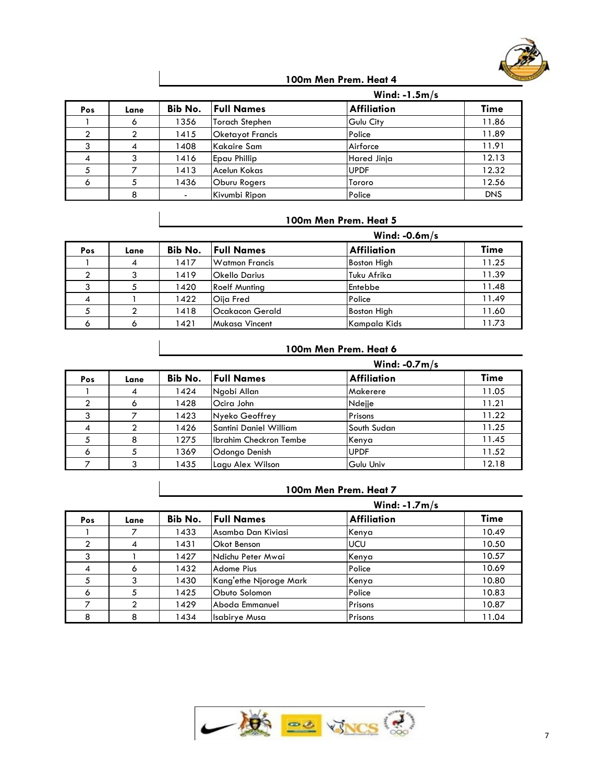

#### **100m Men Prem. Heat 4**

|     |      |                | Wind: $-1.5m/s$         |                    |            |  |
|-----|------|----------------|-------------------------|--------------------|------------|--|
| Pos | Lane | Bib No.        | <b>Full Names</b>       | <b>Affiliation</b> | Time       |  |
|     |      | 1356           | Torach Stephen          | Gulu City          | 11.86      |  |
|     |      | 1415           | <b>Oketayot Francis</b> | Police             | 11.89      |  |
|     |      | 1408           | Kakaire Sam             | Airforce           | 11.91      |  |
|     |      | 1416           | <b>Epau Phillip</b>     | Hared Jinja        | 12.13      |  |
|     |      | 1413           | Acelun Kokas            | <b>UPDF</b>        | 12.32      |  |
| ۰   |      | 1436           | Oburu Rogers            | Tororo             | 12.56      |  |
|     |      | $\blacksquare$ | Kivumbi Ripon           | Police             | <b>DNS</b> |  |

## **100m Men Prem. Heat 5**

|     |      | Wind: $-0.6m/s$ |                        |                    |       |  |  |  |
|-----|------|-----------------|------------------------|--------------------|-------|--|--|--|
| Pos | Lane | Bib No.         | <b>Full Names</b>      | <b>Affiliation</b> | Time  |  |  |  |
|     | 4    | 1417            | Watmon Francis         | <b>Boston High</b> | 11.25 |  |  |  |
|     |      | 1419            | <b>Okello Darius</b>   | Tuku Afrika        | 11.39 |  |  |  |
|     |      | 1420            | <b>Roelf Munting</b>   | Entebbe            | 11.48 |  |  |  |
|     |      | 1422            | <b>Oija Fred</b>       | Police             | 11.49 |  |  |  |
|     |      | 1418            | <b>Ocakacon Gerald</b> | <b>Boston High</b> | 11.60 |  |  |  |
|     |      | 1421            | Mukasa Vincent         | Kampala Kids       | 11.73 |  |  |  |

# **100m Men Prem. Heat 6**

|            |      |         | Wind: $-0.7m/s$        |                    |       |  |  |
|------------|------|---------|------------------------|--------------------|-------|--|--|
| <b>Pos</b> | Lane | Bib No. | <b>Full Names</b>      | <b>Affiliation</b> | Time  |  |  |
|            |      | 1424    | Ngobi Allan            | Makerere           | 11.05 |  |  |
|            |      | 1428    | Ocira John             | Ndejje             | 11.21 |  |  |
|            |      | 1423    | Nyeko Geoffrey         | Prisons            | 11.22 |  |  |
|            |      | 1426    | Santini Daniel William | South Sudan        | 11.25 |  |  |
|            | 8    | 1275    | Ibrahim Checkron Tembe | Kenya              | 11.45 |  |  |
| Ô          |      | 1369    | Odongo Denish          | <b>UPDF</b>        | 11.52 |  |  |
|            |      | 1435    | Lagu Alex Wilson       | Gulu Univ          | 12.18 |  |  |

#### **100m Men Prem. Heat 7**

|     |      | Wind: $-1.7m/s$ |                        |                    |             |  |  |  |
|-----|------|-----------------|------------------------|--------------------|-------------|--|--|--|
| Pos | Lane | Bib No.         | <b>Full Names</b>      | <b>Affiliation</b> | <b>Time</b> |  |  |  |
|     |      | 1433            | lAsamba Dan Kiviasi    | Kenya              | 10.49       |  |  |  |
| ◠   | 4    | 1431            | <b>Okot Benson</b>     | <b>UCU</b>         | 10.50       |  |  |  |
| 3   |      | 1427            | Ndichu Peter Mwai      | Kenya              | 10.57       |  |  |  |
| 4   | O    | 1432            | Adome Pius             | Police             | 10.69       |  |  |  |
|     |      | 1430            | Kang'ethe Njoroge Mark | Kenya              | 10.80       |  |  |  |
| 6   | C.   | 1425            | Obuto Solomon          | Police             | 10.83       |  |  |  |
|     |      | 1429            | Aboda Emmanuel         | Prisons            | 10.87       |  |  |  |
| я   |      | 1434            | <b>Isabirye Musa</b>   | Prisons            | 11.04       |  |  |  |

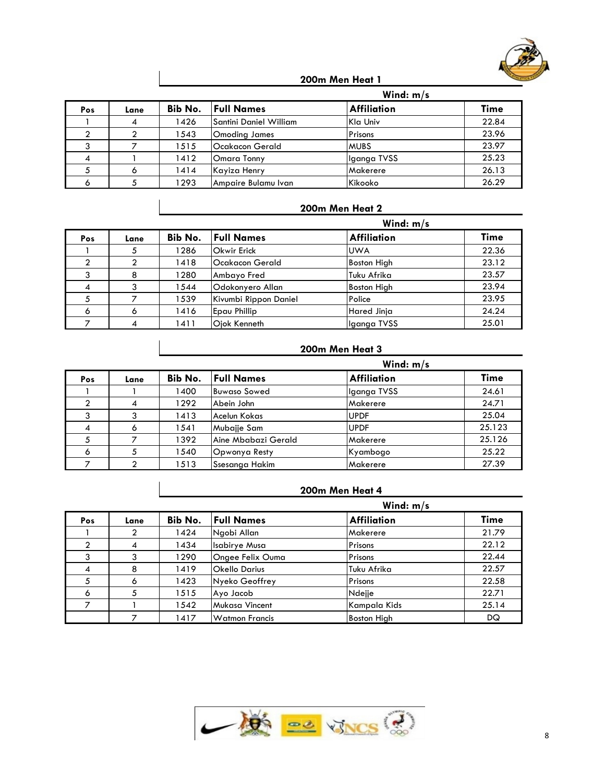

|     |      |         | Wind: $m/s$            |                    |             |  |
|-----|------|---------|------------------------|--------------------|-------------|--|
| Pos | Lane | Bib No. | <b>Full Names</b>      | <b>Affiliation</b> | <b>Time</b> |  |
|     |      | 1426    | Santini Daniel William | Kla Univ           | 22.84       |  |
|     |      | 1543    | Omoding James          | Prisons            | 23.96       |  |
|     |      | 1515    | lOcakacon Gerald       | <b>MUBS</b>        | 23.97       |  |
|     |      | 1412    | Omara Tonny            | Iganga TVSS        | 25.23       |  |
|     |      | 1414    | Kayiza Henry           | Makerere           | 26.13       |  |
|     |      | 1293    | Ampaire Bulamu Ivan    | Kikooko            | 26.29       |  |

# **200m Men Heat 2**

|     |         |         | Wind: $m/s$           |                    |             |  |
|-----|---------|---------|-----------------------|--------------------|-------------|--|
| Pos | Lane    | Bib No. | <b>Full Names</b>     | <b>Affiliation</b> | <b>Time</b> |  |
|     |         | 1286    | <b>Okwir Erick</b>    | <b>UWA</b>         | 22.36       |  |
| ◠   |         | 1418    | lOcakacon Gerald      | <b>Boston High</b> | 23.12       |  |
| ົ   |         | 1280    | Ambayo Fred           | Tuku Afrika        | 23.57       |  |
| 4   |         | 1544    | Odokonyero Allan      | <b>Boston High</b> | 23.94       |  |
|     |         | 1539    | Kivumbi Rippon Daniel | Police             | 23.95       |  |
| Ô   | $\circ$ | 1416    | <b>Epau Phillip</b>   | <b>Hared Jinja</b> | 24.24       |  |
|     |         | 1411    | Oiok Kenneth          | Iganga TVSS        | 25.01       |  |

# **200m Men Heat 3**

|            |      |         |                     | Wind: $m/s$        |        |
|------------|------|---------|---------------------|--------------------|--------|
| <b>Pos</b> | Lane | Bib No. | <b>Full Names</b>   | <b>Affiliation</b> | Time   |
|            |      | 1400    | Buwaso Sowed        | Iganga TVSS        | 24.61  |
|            | 4    | 1292    | Abein John          | Makerere           | 24.71  |
|            |      | 1413    | Acelun Kokas        | <b>UPDF</b>        | 25.04  |
|            |      | 1541    | Mubajje Sam         | <b>UPDF</b>        | 25.123 |
|            |      | 1392    | Aine Mbabazi Gerald | Makerere           | 25.126 |
| Ô          |      | 1540    | Opwonya Resty       | Kyambogo           | 25.22  |
|            |      | 1513    | Ssesanga Hakim      | Makerere           | 27.39  |

|     |      |         | Wind: $m/s$           |                    |             |  |  |
|-----|------|---------|-----------------------|--------------------|-------------|--|--|
| Pos | Lane | Bib No. | <b>Full Names</b>     | <b>Affiliation</b> | <b>Time</b> |  |  |
|     |      | 1424    | Ngobi Allan           | Makerere           | 21.79       |  |  |
|     | 4    | 1434    | <b>Isabirye Musa</b>  | Prisons            | 22.12       |  |  |
|     |      | 1290    | Ongee Felix Ouma      | Prisons            | 22.44       |  |  |
| 4   | 8    | 1419    | <b>Okello Darius</b>  | Tuku Afrika        | 22.57       |  |  |
| 5   | Ō    | 1423    | Nyeko Geoffrey        | Prisons            | 22.58       |  |  |
| 6   | 5    | 1515    | Ayo Jacob             | Ndejje             | 22.71       |  |  |
|     |      | 1542    | Mukasa Vincent        | Kampala Kids       | 25.14       |  |  |
|     |      | 1417    | <b>Watmon Francis</b> | <b>Boston High</b> | DQ          |  |  |

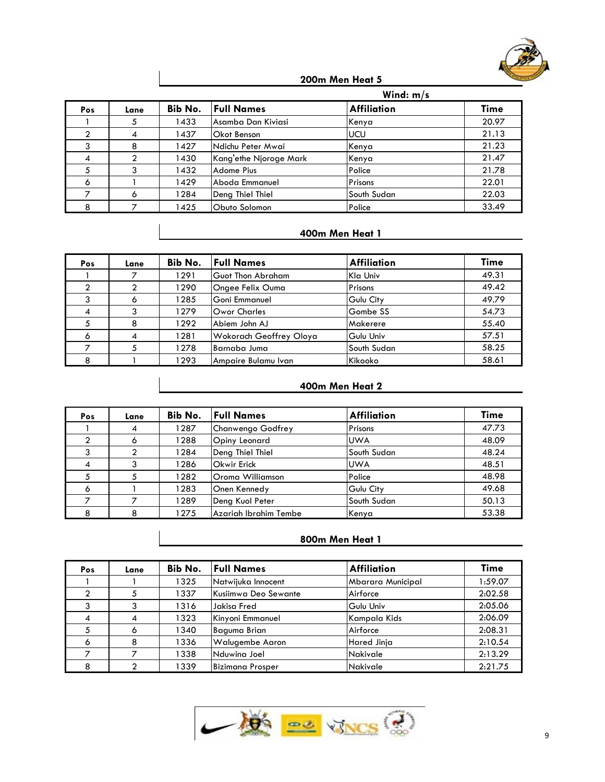

|     |      |         |                        | Wind: $m/s$        |       |  |
|-----|------|---------|------------------------|--------------------|-------|--|
| Pos | Lane | Bib No. | <b>Full Names</b>      | <b>Affiliation</b> | Time  |  |
|     |      | 1433    | lAsamba Dan Kiviasi    | Kenya              | 20.97 |  |
| ⌒   |      | 1437    | <b>Okot Benson</b>     | <b>UCU</b>         | 21.13 |  |
|     |      | 1427    | Ndichu Peter Mwai      | Kenya              | 21.23 |  |
| 4   |      | 1430    | Kang'ethe Njoroge Mark | Kenya              | 21.47 |  |
|     |      | 1432    | <b>Adome Pius</b>      | Police             | 21.78 |  |
| 6   |      | 1429    | Aboda Emmanuel         | Prisons            | 22.01 |  |
|     | Ô    | 1284    | Deng Thiel Thiel       | South Sudan        | 22.03 |  |
|     |      | 1425    | Obuto Solomon          | Police             | 33.49 |  |

## **400m Men Heat 1**

| <b>Pos</b> | Lane | Bib No. | <b>Full Names</b>        | <b>Affiliation</b> | <b>Time</b> |
|------------|------|---------|--------------------------|--------------------|-------------|
|            |      | 1291    | <b>Guot Thon Abraham</b> | Kla Univ           | 49.31       |
|            |      | 1290    | Ongee Felix Ouma         | Prisons            | 49.42       |
|            | 6    | 1285    | Goni Emmanuel            | Gulu City          | 49.79       |
| 4          |      | 1279    | <b>Owor Charles</b>      | Gombe SS           | 54.73       |
|            | 8    | 1292    | Abiem John AJ            | Makerere           | 55.40       |
| Ô          | 4    | 1281    | Wokorach Geoffrey Oloya  | Gulu Univ          | 57.51       |
|            |      | 1278    | Barnaba Juma             | South Sudan        | 58.25       |
| 8          |      | 1293    | Ampaire Bulamu Ivan      | Kikooko            | 58.61       |

## **400m Men Heat 2**

| <b>Pos</b> | Lane | Bib No. | <b>Full Names</b>     | <b>Affiliation</b> | Time  |
|------------|------|---------|-----------------------|--------------------|-------|
|            | 4    | 1287    | Chanwengo Godfrey     | Prisons            | 47.73 |
|            | Ô    | 1288    | Opiny Leonard         | <b>UWA</b>         | 48.09 |
|            |      | 1284    | Deng Thiel Thiel      | South Sudan        | 48.24 |
|            |      | 1286    | <b>Okwir Erick</b>    | <b>UWA</b>         | 48.51 |
|            |      | 1282    | Oroma Williamson      | Police             | 48.98 |
| Ô          |      | 1283    | Onen Kennedy          | Gulu City          | 49.68 |
|            |      | 1289    | Deng Kuol Peter       | South Sudan        | 50.13 |
| 8          | 8    | 1275    | Azariah Ibrahim Tembe | Kenya              | 53.38 |

| Pos | Lane | Bib No. | <b>Full Names</b>      | <b>Affiliation</b> | <b>Time</b> |
|-----|------|---------|------------------------|--------------------|-------------|
|     |      | 1325    | Natwijuka Innocent     | Mbarara Municipal  | 1:59.07     |
|     |      | 1337    | Kusiimwa Deo Sewante   | Airforce           | 2:02.58     |
|     |      | 1316    | Jakisa Fred            | Gulu Univ          | 2:05.06     |
|     |      | 1323    | Kinyoni Emmanuel       | Kampala Kids       | 2:06.09     |
|     | Ô    | 1340    | Baguma Brian           | Airforce           | 2:08.31     |
| 6   |      | 1336    | <b>Walugembe Aaron</b> | Hared Jinja        | 2:10.54     |
|     |      | 1338    | Nduwina Joel           | <b>Nakivale</b>    | 2:13.29     |
|     |      | 1339    | Bizimana Prosper       | <b>Nakivale</b>    | 2:21.75     |

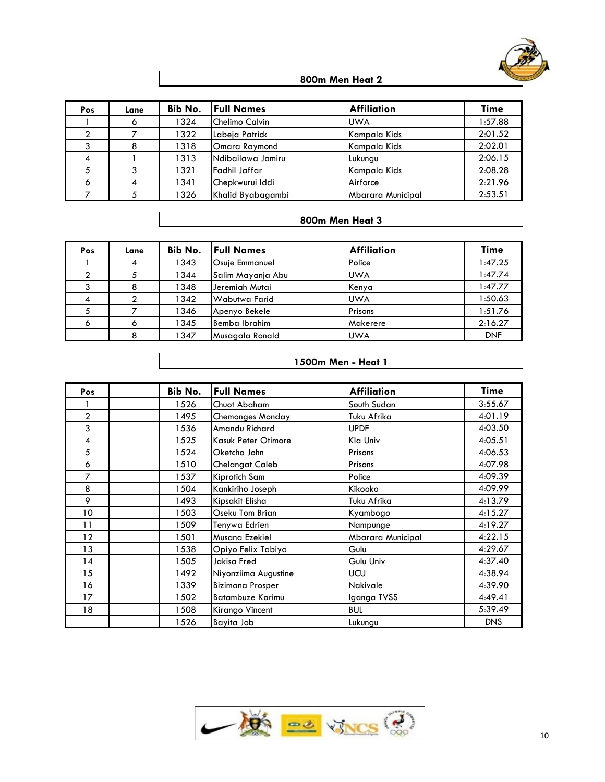

| Pos | Lane | Bib No. | <b>Full Names</b> | <b>Affiliation</b> | Time    |
|-----|------|---------|-------------------|--------------------|---------|
|     |      | 1324    | Chelimo Calvin    | <b>UWA</b>         | 1:57.88 |
|     |      | 1322    | Labeja Patrick    | Kampala Kids       | 2:01.52 |
|     | 8    | 1318    | Omara Raymond     | Kampala Kids       | 2:02.01 |
|     |      | 1313    | Ndibailawa Jamiru | Lukungu            | 2:06.15 |
|     |      | 1321    | Fadhil Jaffar     | Kampala Kids       | 2:08.28 |
| 6   |      | 1341    | Chepkwurui Iddi   | Airforce           | 2:21.96 |
|     |      | 1326    | Khalid Byabagambi | Mbarara Municipal  | 2:53.51 |

# **800m Men Heat 3**

| Pos | Lane | Bib No. | <b>Full Names</b>     | <b>Affiliation</b> | <b>Time</b> |
|-----|------|---------|-----------------------|--------------------|-------------|
|     | 4    | 1343    | <b>Osuje Emmanuel</b> | Police             | 1:47.25     |
|     |      | 1344    | Salim Mayanja Abu     | <b>UWA</b>         | 1:47.74     |
|     | 8    | 1348    | Jeremiah Mutai        | Kenya              | 1:47.77     |
|     |      | 1342    | lWabutwa Farid        | <b>UWA</b>         | 1:50.63     |
|     |      | 1346    | Apenyo Bekele         | Prisons            | 1:51.76     |
| Ô   | O    | 1345    | Bemba Ibrahim         | Makerere           | 2:16.27     |
|     |      | 1347    | Musagala Ronald       | <b>UWA</b>         | <b>DNF</b>  |

| Pos            | Bib No. | <b>Full Names</b>       | <b>Affiliation</b>       | Time       |
|----------------|---------|-------------------------|--------------------------|------------|
|                | 1526    | Chuot Abaham            | South Sudan              | 3:55.67    |
| $\overline{2}$ | 1495    | <b>Chemonges Monday</b> | Tuku Afrika              | 4:01.19    |
| 3              | 1536    | Amandu Richard          | <b>UPDF</b>              | 4:03.50    |
| 4              | 1525    | Kasuk Peter Otimore     | Kla Univ                 | 4:05.51    |
| 5              | 1524    | Oketcho John            | Prisons                  | 4:06.53    |
| 6              | 1510    | <b>Chelangat Caleb</b>  | Prisons                  | 4:07.98    |
| 7              | 1537    | Kiprotich Sam           | Police                   | 4:09.39    |
| 8              | 1504    | Kankiriho Joseph        | Kikooko                  | 4:09.99    |
| 9              | 1493    | Kipsakit Elisha         | Tuku Afrika              | 4:13.79    |
| 10             | 1503    | Oseku Tom Brian         | Kyambogo                 | 4:15.27    |
| 11             | 1509    | Tenywa Edrien           | Nampunge                 | 4:19.27    |
| 12             | 1501    | Musana Ezekiel          | <b>Mbarara Municipal</b> | 4:22.15    |
| 13             | 1538    | Opiyo Felix Tabiya      | Gulu                     | 4:29.67    |
| 14             | 1505    | Jakisa Fred             | Gulu Univ                | 4:37.40    |
| 15             | 1492    | Niyonziima Augustine    | <b>UCU</b>               | 4:38.94    |
| 16             | 1339    | <b>Bizimana Prosper</b> | <b>Nakivale</b>          | 4:39.90    |
| 17             | 1502    | <b>Batambuze Karimu</b> | Iganga TVSS              | 4:49.41    |
| 18             | 1508    | Kirango Vincent         | <b>BUL</b>               | 5:39.49    |
|                | 1526    | Bayita Job              | Lukungu                  | <b>DNS</b> |

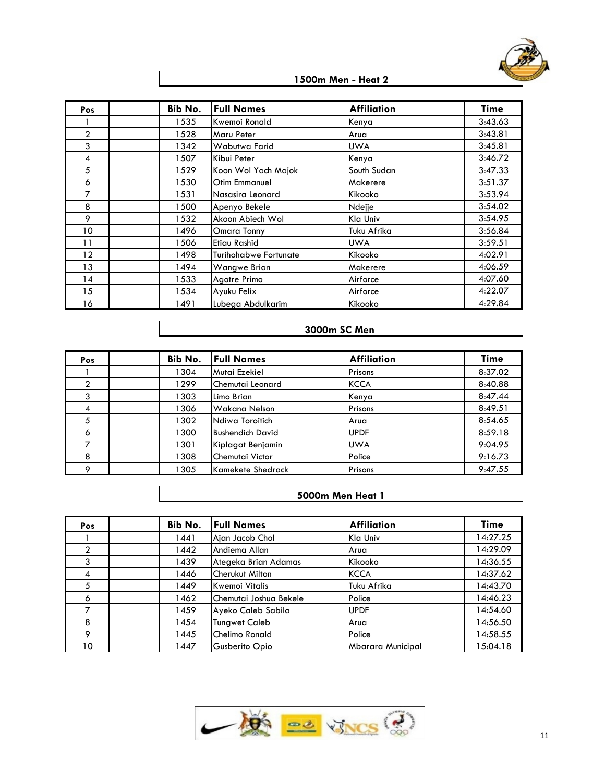

| Pos            | Bib No. | <b>Full Names</b>            | <b>Affiliation</b> | <b>Time</b> |
|----------------|---------|------------------------------|--------------------|-------------|
|                | 1535    | Kwemoi Ronald                | Kenya              | 3:43.63     |
| $\overline{2}$ | 1528    | Maru Peter                   | Arua               | 3:43.81     |
| 3              | 1342    | Wabutwa Farid                | <b>UWA</b>         | 3:45.81     |
| 4              | 1507    | Kibui Peter                  | Kenya              | 3:46.72     |
| 5              | 1529    | Koon Wol Yach Majok          | South Sudan        | 3:47.33     |
| 6              | 1530    | <b>Otim Emmanuel</b>         | Makerere           | 3:51.37     |
| 7              | 1531    | Nasasira Leonard             | Kikooko            | 3:53.94     |
| 8              | 1500    | Apenyo Bekele                | Ndejje             | 3:54.02     |
| 9              | 1532    | Akoon Abiech Wol             | Kla Univ           | 3:54.95     |
| 10             | 1496    | Omara Tonny                  | Tuku Afrika        | 3:56.84     |
| 11             | 1506    | Etiau Rashid                 | <b>UWA</b>         | 3:59.51     |
| 12             | 1498    | <b>Turihohabwe Fortunate</b> | Kikooko            | 4:02.91     |
| 13             | 1494    | Wangwe Brian                 | Makerere           | 4:06.59     |
| 14             | 1533    | Agotre Primo                 | Airforce           | 4:07.60     |
| 15             | 1534    | Ayuku Felix                  | Airforce           | 4:22.07     |
| 16             | 1491    | Lubega Abdulkarim            | Kikooko            | 4:29.84     |

## **3000m SC Men**

| <b>Pos</b>    | Bib No. | <b>Full Names</b>       | <b>Affiliation</b> | <b>Time</b> |
|---------------|---------|-------------------------|--------------------|-------------|
|               | 1304    | Mutai Ezekiel           | Prisons            | 8:37.02     |
| $\mathcal{P}$ | 1299    | Chemutai Leonard        | <b>KCCA</b>        | 8:40.88     |
| 3             | 1303    | Limo Brian              | Kenya              | 8:47.44     |
| 4             | 1306    | Wakana Nelson           | Prisons            | 8:49.51     |
|               | 1302    | Ndiwa Toroitich         | Arua               | 8:54.65     |
| 6             | 1300    | <b>Bushendich David</b> | <b>UPDF</b>        | 8:59.18     |
|               | 1301    | Kiplagat Benjamin       | <b>UWA</b>         | 9:04.95     |
| 8             | 1308    | Chemutai Victor         | Police             | 9:16.73     |
|               | 1305    | Kamekete Shedrack       | Prisons            | 9:47.55     |

| Pos            | Bib No. | <b>Full Names</b>      | <b>Affiliation</b> | <b>Time</b> |
|----------------|---------|------------------------|--------------------|-------------|
|                | 1441    | Ajan Jacob Chol        | Kla Univ           | 14:27.25    |
| $\overline{2}$ | 1442    | lAndiema Allan         | Arua               | 14:29.09    |
| 3              | 1439    | Ategeka Brian Adamas   | Kikooko            | 14:36.55    |
| 4              | 1446    | Cherukut Milton        | <b>KCCA</b>        | 14:37.62    |
| 5              | 1449    | Kwemoi Vitalis         | Tuku Afrika        | 14:43.70    |
| 6              | 1462    | Chemutai Joshua Bekele | Police             | 14:46.23    |
| ⇁              | 1459    | Ayeko Caleb Sabila     | <b>UPDF</b>        | 14:54.60    |
| 8              | 1454    | Tungwet Caleb          | Arua               | 14:56.50    |
| Q              | 1445    | Chelimo Ronald         | Police             | 14:58.55    |
| 10             | 1447    | Gusberito Opio         | Mbarara Municipal  | 15:04.18    |

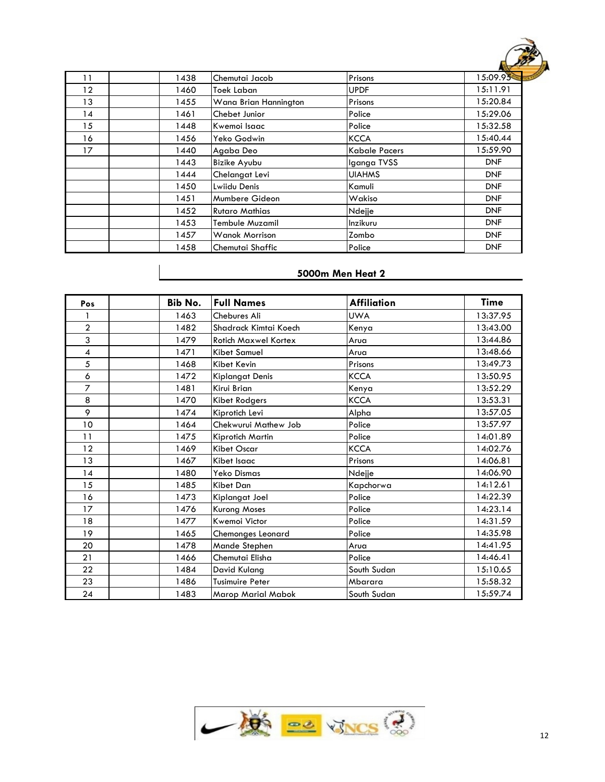

| 11 | 1438 | Chemutai Jacob        | Prisons       | <b>All Contracts</b><br>15:09.95 |
|----|------|-----------------------|---------------|----------------------------------|
| 12 | 1460 | Toek Laban            | <b>UPDF</b>   | 15:11.91                         |
| 13 | 1455 | Wana Brian Hannington | Prisons       | 15:20.84                         |
| 14 | 1461 | Chebet Junior         | Police        | 15:29.06                         |
| 15 | 1448 | Kwemoi Isaac          | Police        | 15:32.58                         |
| 16 | 1456 | Yeko Godwin           | <b>KCCA</b>   | 15:40.44                         |
| 17 | 1440 | Agaba Deo             | Kabale Pacers | 15:59.90                         |
|    | 1443 | Bizike Ayubu          | Iganga TVSS   | <b>DNF</b>                       |
|    | 1444 | Chelangat Levi        | <b>UIAHMS</b> | <b>DNF</b>                       |
|    | 1450 | Lwiidu Denis          | Kamuli        | <b>DNF</b>                       |
|    | 1451 | Mumbere Gideon        | Wakiso        | <b>DNF</b>                       |
|    | 1452 | <b>Rutaro Mathias</b> | Ndejje        | <b>DNF</b>                       |
|    | 1453 | Tembule Muzamil       | Inzikuru      | <b>DNF</b>                       |
|    | 1457 | <b>Wanok Morrison</b> | Zombo         | <b>DNF</b>                       |
|    | 1458 | Chemutai Shaffic      | Police        | <b>DNF</b>                       |

| Pos            | Bib No. | <b>Full Names</b>           | <b>Affiliation</b> | Time     |
|----------------|---------|-----------------------------|--------------------|----------|
|                | 1463    | <b>Chebures Ali</b>         | <b>UWA</b>         | 13:37.95 |
| $\overline{2}$ | 1482    | Shadrack Kimtai Koech       | Kenya              | 13:43.00 |
| 3              | 1479    | <b>Rotich Maxwel Kortex</b> | Arua               | 13:44.86 |
| 4              | 1471    | <b>Kibet Samuel</b>         | Arua               | 13:48.66 |
| 5              | 1468    | Kibet Kevin                 | Prisons            | 13:49.73 |
| 6              | 1472    | <b>Kiplangat Denis</b>      | <b>KCCA</b>        | 13:50.95 |
| $\overline{z}$ | 1481    | Kirui Brian                 | Kenya              | 13:52.29 |
| 8              | 1470    | Kibet Rodgers               | <b>KCCA</b>        | 13:53.31 |
| 9              | 1474    | Kiprotich Levi              | Alpha              | 13:57.05 |
| 10             | 1464    | Chekwurui Mathew Job        | Police             | 13:57.97 |
| 11             | 1475    | Kiprotich Martin            | Police             | 14:01.89 |
| 12             | 1469    | <b>Kibet Oscar</b>          | <b>KCCA</b>        | 14:02.76 |
| 13             | 1467    | Kibet Isaac                 | Prisons            | 14:06.81 |
| 14             | 1480    | Yeko Dismas                 | Ndejje             | 14:06.90 |
| 15             | 1485    | Kibet Dan                   | Kapchorwa          | 14:12.61 |
| 16             | 1473    | Kiplangat Joel              | Police             | 14:22.39 |
| 17             | 1476    | <b>Kurong Moses</b>         | Police             | 14:23.14 |
| 18             | 1477    | Kwemoi Victor               | Police             | 14:31.59 |
| 19             | 1465    | Chemonges Leonard           | Police             | 14:35.98 |
| 20             | 1478    | Mande Stephen               | Arua               | 14:41.95 |
| 21             | 1466    | Chemutai Elisha             | Police             | 14:46.41 |
| 22             | 1484    | David Kulang                | South Sudan        | 15:10.65 |
| 23             | 1486    | <b>Tusimuire Peter</b>      | Mbarara            | 15:58.32 |
| 24             | 1483    | <b>Marop Marial Mabok</b>   | South Sudan        | 15:59.74 |

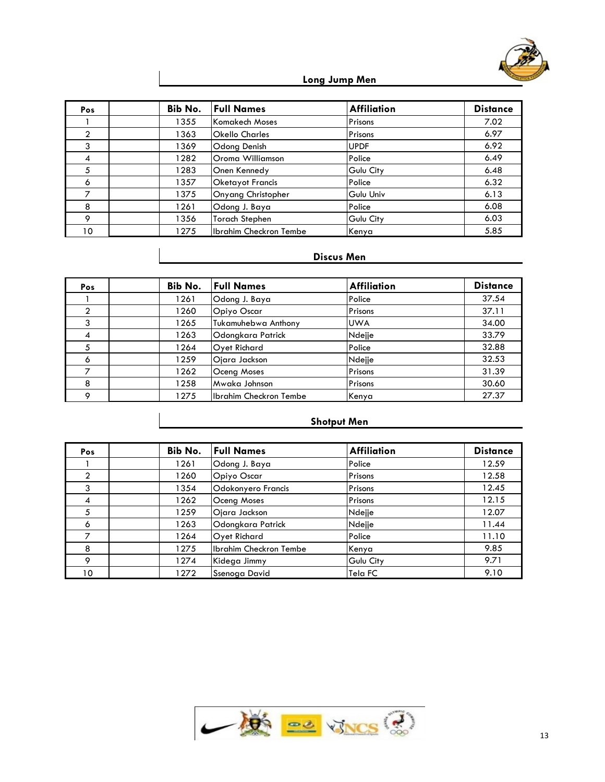

# **Long Jump Men**

| Pos             | Bib No. | <b>Full Names</b>       | <b>Affiliation</b> | <b>Distance</b> |
|-----------------|---------|-------------------------|--------------------|-----------------|
|                 | 1355    | Komakech Moses          | Prisons            | 7.02            |
| $\mathcal{P}$   | 1363    | <b>Okello Charles</b>   | Prisons            | 6.97            |
| 3               | 1369    | Odong Denish            | <b>UPDF</b>        | 6.92            |
| 4               | 1282    | Oroma Williamson        | Police             | 6.49            |
| 5               | 1283    | Onen Kennedy            | Gulu City          | 6.48            |
| 6               | 1357    | <b>Oketayot Francis</b> | Police             | 6.32            |
| ⇁               | 1375    | Onyang Christopher      | Gulu Univ          | 6.13            |
| 8               | 1261    | Odong J. Baya           | Police             | 6.08            |
| 9               | 1356    | <b>Torach Stephen</b>   | Gulu City          | 6.03            |
| 10 <sup>°</sup> | 1275    | Ibrahim Checkron Tembe  | Kenya              | 5.85            |

# **Discus Men**

| Pos     | Bib No. | <b>Full Names</b>      | <b>Affiliation</b> | <b>Distance</b> |
|---------|---------|------------------------|--------------------|-----------------|
|         | 1261    | Odong J. Baya          | Police             | 37.54           |
| 2       | 1260    | Opiyo Oscar            | Prisons            | 37.11           |
| 3       | 1265    | Tukamuhebwa Anthony    | <b>UWA</b>         | 34.00           |
| 4       | 1263    | Odonakara Patrick      | Ndejje             | 33.79           |
|         | 1264    | Oyet Richard           | Police             | 32.88           |
| 6       | 1259    | Ojara Jackson          | Ndejje             | 32.53           |
|         | 1262    | Oceng Moses            | Prisons            | 31.39           |
| 8       | 1258    | Mwaka Johnson          | Prisons            | 30.60           |
| $\circ$ | 1275    | Ibrahim Checkron Tembe | Kenya              | 27.37           |

# **Shotput Men**

| <b>Pos</b>   | Bib No. | <b>Full Names</b>      | <b>Affiliation</b> | <b>Distance</b> |
|--------------|---------|------------------------|--------------------|-----------------|
|              | 1261    | Odong J. Baya          | Police             | 12.59           |
| $\mathbf{2}$ | 1260    | Opiyo Oscar            | Prisons            | 12.58           |
| 3            | 1354    | Odokonyero Francis     | Prisons            | 12.45           |
| 4            | 1262    | Oceng Moses            | Prisons            | 12.15           |
| 5            | 1259    | Ojara Jackson          | Ndejje             | 12.07           |
| 6            | 1263    | Odonakara Patrick      | Ndejje             | 11.44           |
|              | 1264    | Oyet Richard           | Police             | 11.10           |
| 8            | 1275    | Ibrahim Checkron Tembe | Kenya              | 9.85            |
| 9            | 1274    | Kidega Jimmy           | Gulu City          | 9.71            |
| 10           | 1272    | Ssenoga David          | Tela FC            | 9.10            |